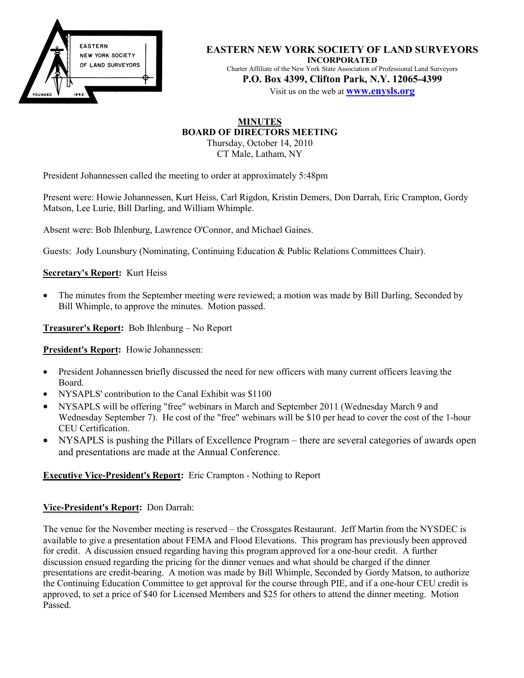

**EASTERN NEW YORK SOCIETY OF LAND SURVEYORS INCORPORATED** Charter Affiliate of the New York State Association of Professional Land Surveyors **P.O. Box 4399, Clifton Park, N.Y. 12065-4399** Visit us on the web at **www.enysls.org**

# **MINUTES BOARD OF DIRECTORS MEETING** Thursday, October 14, 2010

CT Male, Latham, NY

President Johannessen called the meeting to order at approximately 5:48pm

Present were: Howie Johannessen, Kurt Heiss, Carl Rigdon, Kristin Demers, Don Darrah, Eric Crampton, Gordy Matson, Lee Lurie, Bill Darling, and William Whimple.

Absent were: Bob Ihlenburg, Lawrence O'Connor, and Michael Gaines.

Guests: Jody Lounsbury (Nominating, Continuing Education & Public Relations Committees Chair).

# **Secretary's Report:** Kurt Heiss

• The minutes from the September meeting were reviewed; a motion was made by Bill Darling, Seconded by Bill Whimple, to approve the minutes. Motion passed.

**Treasurer's Report:** Bob Ihlenburg – No Report

**President's Report:** Howie Johannessen:

- President Johannessen briefly discussed the need for new officers with many current officers leaving the Board.
- NYSAPLS' contribution to the Canal Exhibit was \$1100
- NYSAPLS will be offering "free" webinars in March and September 2011 (Wednesday March 9 and Wednesday September 7). He cost of the "free" webinars will be \$10 per head to cover the cost of the 1-hour CEU Certification.
- NYSAPLS is pushing the Pillars of Excellence Program there are several categories of awards open and presentations are made at the Annual Conference.

# **Executive Vice-President's Report:** Eric Crampton - Nothing to Report

# **Vice-President's Report:** Don Darrah:

The venue for the November meeting is reserved – the Crossgates Restaurant. Jeff Martin from the NYSDEC is available to give a presentation about FEMA and Flood Elevations. This program has previously been approved for credit. A discussion ensued regarding having this program approved for a one-hour credit. A further discussion ensued regarding the pricing for the dinner venues and what should be charged if the dinner presentations are credit-bearing. A motion was made by Bill Whimple, Seconded by Gordy Matson, to authorize the Continuing Education Committee to get approval for the course through PIE, and if a one-hour CEU credit is approved, to set a price of \$40 for Licensed Members and \$25 for others to attend the dinner meeting. Motion Passed.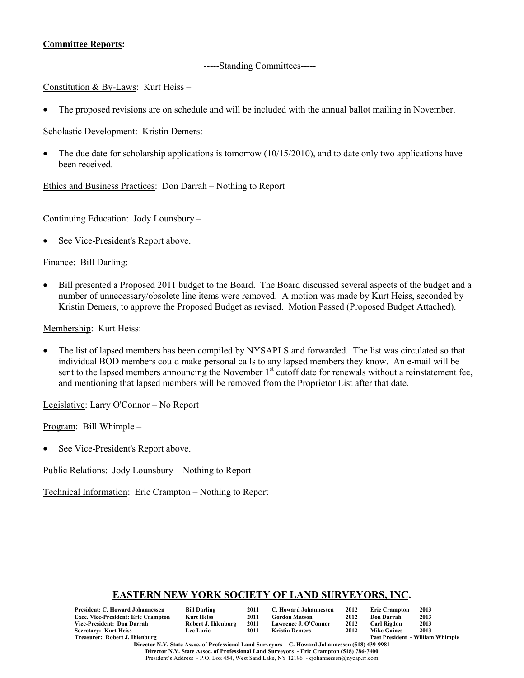# **Committee Reports:**

# -----Standing Committees-----

Constitution & By-Laws: Kurt Heiss –

• The proposed revisions are on schedule and will be included with the annual ballot mailing in November.

Scholastic Development: Kristin Demers:

The due date for scholarship applications is tomorrow  $(10/15/2010)$ , and to date only two applications have been received.

Ethics and Business Practices: Don Darrah – Nothing to Report

Continuing Education: Jody Lounsbury –

See Vice-President's Report above.

Finance: Bill Darling:

• Bill presented a Proposed 2011 budget to the Board. The Board discussed several aspects of the budget and a number of unnecessary/obsolete line items were removed. A motion was made by Kurt Heiss, seconded by Kristin Demers, to approve the Proposed Budget as revised. Motion Passed (Proposed Budget Attached).

Membership: Kurt Heiss:

• The list of lapsed members has been compiled by NYSAPLS and forwarded. The list was circulated so that individual BOD members could make personal calls to any lapsed members they know. An e-mail will be sent to the lapsed members announcing the November 1<sup>st</sup> cutoff date for renewals without a reinstatement fee, and mentioning that lapsed members will be removed from the Proprietor List after that date.

Legislative: Larry O'Connor – No Report

Program: Bill Whimple –

• See Vice-President's Report above.

Public Relations: Jody Lounsbury – Nothing to Report

Technical Information: Eric Crampton – Nothing to Report

# **EASTERN NEW YORK SOCIETY OF LAND SURVEYORS, INC.**

| President: C. Howard Johannessen           | <b>Bill Darling</b> | 2011 | C. Howard Johannessen | 2012 | <b>Eric Crampton</b> | 2013                                    |
|--------------------------------------------|---------------------|------|-----------------------|------|----------------------|-----------------------------------------|
| <b>Exec. Vice-President: Eric Crampton</b> | Kurt Heiss          | 2011 | <b>Gordon Matson</b>  | 2012 | <b>Don Darrah</b>    | 2013                                    |
| Vice-President: Don Darrah                 | Robert J. Ihlenburg | 2011 | Lawrence J. O'Connor  | 2012 | Carl Rigdon          | 2013                                    |
| Secretary: Kurt Heiss                      | <b>Lee Lurie</b>    | 2011 | Kristin Demers        | 2012 | <b>Mike Gaines</b>   | 2013                                    |
| Treasurer: Robert J. Ihlenburg             |                     |      |                       |      |                      | <b>Past President - William Whimple</b> |

**Director N.Y. State Assoc. of Professional Land Surveyors - C. Howard Johannessen (518) 439-9981 Director N.Y. State Assoc. of Professional Land Surveyors - Eric Crampton (518) 786-7400** President's Address - P.O. Box 454, West Sand Lake, NY 12196 - cjohannessen@nycap.rr.com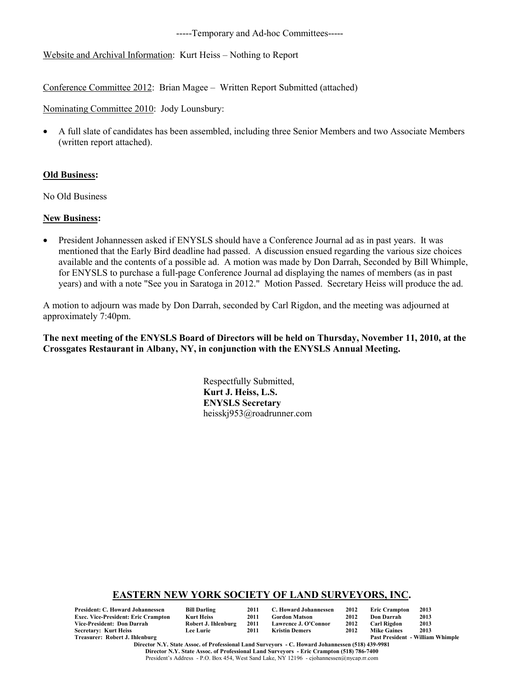-----Temporary and Ad-hoc Committees-----

Website and Archival Information: Kurt Heiss – Nothing to Report

Conference Committee 2012: Brian Magee – Written Report Submitted (attached)

Nominating Committee 2010: Jody Lounsbury:

• A full slate of candidates has been assembled, including three Senior Members and two Associate Members (written report attached).

## **Old Business:**

No Old Business

## **New Business:**

• President Johannessen asked if ENYSLS should have a Conference Journal ad as in past years. It was mentioned that the Early Bird deadline had passed. A discussion ensued regarding the various size choices available and the contents of a possible ad. A motion was made by Don Darrah, Seconded by Bill Whimple, for ENYSLS to purchase a full-page Conference Journal ad displaying the names of members (as in past years) and with a note "See you in Saratoga in 2012." Motion Passed. Secretary Heiss will produce the ad.

A motion to adjourn was made by Don Darrah, seconded by Carl Rigdon, and the meeting was adjourned at approximately 7:40pm.

**The next meeting of the ENYSLS Board of Directors will be held on Thursday, November 11, 2010, at the Crossgates Restaurant in Albany, NY, in conjunction with the ENYSLS Annual Meeting.**

> Respectfully Submitted, **Kurt J. Heiss, L.S. ENYSLS Secretary** heisskj953@roadrunner.com

## **EASTERN NEW YORK SOCIETY OF LAND SURVEYORS, INC.**

| President: C. Howard Johannessen    | <b>Bill Darling</b> | 2011 | C. Howard Johannessen | 2012 | <b>Eric Crampton</b> | 2013                                    |
|-------------------------------------|---------------------|------|-----------------------|------|----------------------|-----------------------------------------|
| Exec. Vice-President: Eric Crampton | Kurt Heiss          | 2011 | <b>Gordon Matson</b>  | 2012 | Don Darrah           | 2013                                    |
| Vice-President: Don Darrah          | Robert J. Ihlenburg | 2011 | Lawrence J. O'Connor  | 2012 | Carl Rigdon          | 2013                                    |
| Secretary: Kurt Heiss               | <b>Lee Lurie</b>    | 2011 | Kristin Demers        | 2012 | <b>Mike Gaines</b>   | 2013                                    |
| Treasurer: Robert J. Ihlenburg      |                     |      |                       |      |                      | <b>Past President - William Whimple</b> |

**Director N.Y. State Assoc. of Professional Land Surveyors - C. Howard Johannessen (518) 439-9981 Director N.Y. State Assoc. of Professional Land Surveyors - Eric Crampton (518) 786-7400** President's Address - P.O. Box 454, West Sand Lake, NY 12196 - cjohannessen@nycap.rr.com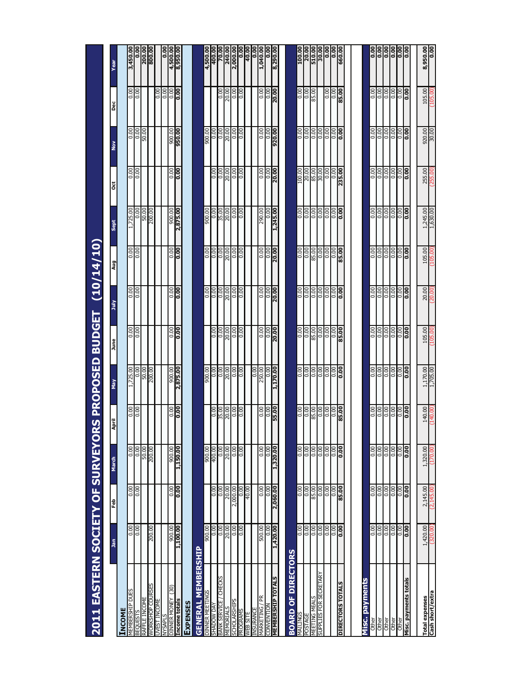| 2011 EASTERN SOCIETY OF SURVEYOR      |                            |                         |                          |                            | <b>IS PROPOSED BUDGET</b> |                          |                         | (10/14/10)              |                         |                          |                    |                                   |                      |
|---------------------------------------|----------------------------|-------------------------|--------------------------|----------------------------|---------------------------|--------------------------|-------------------------|-------------------------|-------------------------|--------------------------|--------------------|-----------------------------------|----------------------|
|                                       | <u>ភិ</u>                  | Feb                     | March                    | April                      | γāγ                       | June                     | July                    | اپي                     | <b>Sept</b>             | ğ                        | ş                  | Dec                               | ēā                   |
| <b>INCOME</b>                         |                            |                         |                          |                            |                           |                          |                         |                         |                         |                          |                    |                                   |                      |
| MEMBERSHIP DUES                       | 0.00                       | $rac{8}{5}$             | 0.00                     | 0.00                       | 1,725.00                  | 0.00                     | 8 8<br>이                | 0.00                    | 1,725.00                | 0.00                     |                    | 0.00                              | 3,450.00             |
| <b>BEQUESTS</b>                       | $\overline{0.00}$          |                         | $\frac{0.00}{\sqrt{10}}$ | 0.00                       | 0.00                      | $\frac{0.00}{\sqrt{10}}$ |                         | $\overline{0.00}$       |                         | $\frac{0.00}{\sqrt{10}}$ | $\frac{1}{2}$      | $\frac{0.00}{\sqrt{10}}$          | 0.00                 |
| RAFFLE INCOME                         |                            |                         | $\frac{50.00}{200.00}$   |                            | $\frac{50.00}{200.00}$    |                          |                         |                         | $rac{18}{\sqrt{25}}$    |                          |                    |                                   | 200.00               |
| <b>MORKSHOP COURSES</b>               | 200.00                     |                         |                          |                            |                           |                          |                         |                         |                         |                          |                    |                                   |                      |
| <b>JVEST INCOME</b>                   |                            |                         |                          |                            |                           |                          |                         |                         |                         |                          |                    | 0.00                              |                      |
| <b>STINSAN</b>                        |                            |                         |                          |                            |                           |                          |                         |                         |                         |                          |                    | 0.00                              | 0.00                 |
| (30)<br>DINNER MONEY<br>Income totals | 1,100.00<br>900.00         | 00.0<br>0.00            | 1,150.00<br>900.00       | 00.0<br>0.00               | 2,875.00<br>900.00        | 00.0<br>0.00             | 00.0<br>0.00            | 00.0<br>0.00            | 2,875.00<br>900.00      | 00.0<br>0.00             | 950.00<br>900.00   | $\frac{0.00}{\sqrt{100}}$<br>0.00 | 4,500.00<br>8,950.00 |
| <b>EXPENSES</b>                       |                            |                         |                          |                            |                           |                          |                         |                         |                         |                          |                    |                                   |                      |
| <b>GENERAL MEMBERSHIP</b>             |                            |                         |                          |                            |                           |                          |                         |                         |                         |                          |                    |                                   |                      |
| DINNER MEETINGS                       | 900.00                     |                         | 900.00                   |                            | 900.00                    |                          | 0.00                    | 0.00                    | 900.00                  |                          | 900.00             |                                   | 4,500.00             |
| <b>SHADOW DAY</b>                     | 0.00                       | $\frac{0.00}{\pi}$      | 400.00                   | $\frac{0.00}{\frac{1}{2}}$ | $\frac{8}{10}$            | $\overline{0.00}$        | 0.00                    | $\frac{0.00}{\sqrt{2}}$ | $\frac{0.00}{\sqrt{1}}$ | $\frac{0.00}{\sqrt{2}}$  | 0.00               |                                   | 400.00               |
| <b>CHECKS</b><br>BANK SERVICE         | $\frac{0.00}{\sqrt{2}}$    | $\frac{0.00}{\pi}$      | $\overline{0.00}$        | 35.00                      | $\frac{80}{20}$           | $\frac{0.00}{\sqrt{10}}$ | $\frac{8}{10}$          | $\overline{0.00}$       | 35.00                   | $\frac{8}{10}$           | $\frac{0.00}{\pi}$ | 0.00                              | 70.00                |
| <b>MEMORIALS</b>                      | 20.00                      | 20.00                   | $\frac{20.00}{5}$        | 20.00                      | 20.00                     | 20.00                    | 20.00                   | 20.00                   | 20.00                   | 20.00                    | $\frac{20.00}{20}$ | 20.00                             | 240.00               |
| <b>SCHOLARSHIPS</b>                   | $\overline{0.00}$          | 2,000.00                | $\overline{0.00}$        | $\overline{0.00}$          | $\overline{0.00}$         | $\overline{0.00}$        | $\frac{0.00}{\pi}$      | $\overline{0.00}$       | $rac{10}{100}$          | $\frac{0.00}{\pi}$       | $\frac{0.00}{\pi}$ | $\overline{0.00}$                 | 2,000.00             |
| <b>PROGRAMS</b>                       | 0.00                       | 0.00                    | 0.00                     | <b>SC</b>                  | 0.00                      | 0.00                     | 0.00                    | 0.00                    |                         | 0.00                     | $\frac{100}{20}$   | 0.00                              | 0.00                 |
| <b>VEB SITE</b>                       |                            | 40.00                   |                          |                            |                           |                          |                         |                         |                         |                          |                    |                                   | 40.00                |
| Ĕ<br>VIARKETING<br><b>NSURANCE</b>    | 500.00                     | 0.00                    | 0.00                     | 0.00                       | 0.00<br>250.00            | 0.00                     | 0.00                    | 0.00                    | 290.00                  | 0.00                     | 0.00               | 0.00                              | 1,040.00<br>0.00     |
| CONVENTION                            | 0.00                       | $\frac{8}{10}$          | 0.00                     | $\overline{0.00}$          | 0.00                      | $\frac{0.00}{\sqrt{2}}$  | $\frac{0.00}{\sqrt{2}}$ | $\overline{0.00}$       | 0.00                    | $\frac{8}{10}$           | $\overline{0.00}$  | $\overline{0.00}$                 | $\overline{0.00}$    |
| <b>MEMBERSHIP TOTALS</b>              | 1,420.00                   | 2,060.00                | 1,320.00                 | 55.00                      | 1,170.00                  | 20.00                    | 20.00                   | 20.00                   | 1,245.00                | 20.00                    | 920.00             | 20.00                             | 8,290.00             |
|                                       |                            |                         |                          |                            |                           |                          |                         |                         |                         |                          |                    |                                   |                      |
| OF DIRECTORS<br><b>BOARD</b>          |                            |                         |                          |                            |                           |                          |                         |                         |                         |                          |                    |                                   |                      |
| SONITINN                              | 0.00                       | 0.00                    | 0.00                     | 00.0                       | 0.00                      | 0.00                     | 0.00                    | 0.00                    | 0.00                    | 100.00                   | 0.00               | 0.00                              | 100.00               |
| POSTAGE                               | 0.00                       | 0.00                    | 0.00                     | 0.00                       | 0.00                      | 0.00                     |                         | 0.00                    |                         |                          |                    | 0.00                              | 30.00                |
| <b>MEETING MEALS</b>                  | 0.00                       | 85.00                   | $\frac{8}{10}$           | 85.00                      | <b>SC</b>                 | 85.00                    | elele<br> alele         | 85.00                   |                         | $\frac{20.00}{85.00}$    | elele              | 85.00                             |                      |
| SUPPLIES FOR SECRETARY                | $\overline{0.00}$          | $\overline{0.00}$       | $\frac{0.00}{\sqrt{2}}$  | $\overline{0.00}$          | $\frac{0.00}{\sqrt{2}}$   | $\frac{0.00}{\sqrt{1}}$  |                         | $\overline{0.00}$       |                         | 30.00                    |                    |                                   | $\frac{1}{30.00}$    |
|                                       | 0.00                       | $\overline{0.00}$       | $\overline{0.00}$        | $\overline{0.00}$          | $\overline{0.00}$         | $\overline{0.00}$        | $\frac{8}{50}$          | $\overline{0.00}$       |                         | 0.00                     | $\frac{100}{100}$  | 0.00                              | 0.00                 |
|                                       | $\frac{0.00}{\sqrt{10}}$   | $\frac{0.00}{\sqrt{2}}$ | $\frac{100}{200}$        | Sco                        | $\frac{0.00}{\pi}$        | $\frac{100}{20}$         |                         | <b>SC</b>               |                         | $\frac{1}{0.00}$         |                    | $\frac{100}{200}$                 | $\frac{1}{100}$      |
| <b>DIRECTORS TOTALS</b>               | $\frac{0.00}{\frac{1}{2}}$ | 85.00                   | ခြိ                      | 85.00                      | ခြိ                       | 85.00                    | ခြိ                     | 85.00                   | ခြိ                     | 235.00                   | <b>Solo</b>        | 85.00                             | 660.00               |
|                                       |                            |                         |                          |                            |                           |                          |                         |                         |                         |                          |                    |                                   |                      |
| Misc. payments                        |                            |                         |                          |                            |                           |                          |                         |                         |                         |                          |                    |                                   |                      |
| Other                                 | 0.00                       | 0.00                    | 0.00                     | 0.00                       | 0.00                      | 0.00                     | 0.00                    | 0.00                    | 0.00                    | $\frac{8}{10}$           | $\frac{0.00}{1}$   | 0.00                              | $rac{0}{10}$         |
| Other                                 | 0.00                       | $\frac{0.00}{\pi}$      | 0.00                     | 0.00                       | $\frac{0.00}{\pi}$        | 0.00                     | 0.00                    | 0.00                    |                         | 0.00                     |                    | 0.00                              |                      |
| Other<br>Other                        | 0.00                       | $rac{8}{5}$             | $rac{8}{5}$              | $rac{8}{100}$              | $rac{8}{5}$               | $rac{8}{5}$              | <b><u>ssss</u></b>      | $\frac{8}{5}$           |                         | $rac{8}{5}$              |                    | $\frac{8}{5}$                     | $\frac{100}{1000}$   |
|                                       | $\frac{100}{100}$          |                         |                          |                            |                           |                          |                         |                         |                         |                          |                    |                                   |                      |
| Other                                 | $\frac{0.00}{0.00}$        | $\frac{8}{100}$         | $\frac{0.00}{0.00}$      | $\frac{8}{100}$            | $\frac{8}{100}$           | $\overline{0.00}$        |                         | $\frac{8}{10}$          |                         | $\frac{8}{100}$          |                    | $\frac{8}{10}$                    | $\frac{100}{100}$    |
| Misc. payments totals                 |                            |                         |                          |                            |                           | <b>SO</b>                |                         | <b>SC</b>               |                         |                          |                    | <b>SC</b>                         |                      |
|                                       |                            |                         |                          |                            |                           |                          |                         |                         |                         |                          |                    |                                   |                      |
| <b>Total expenses</b>                 | 1,420.00                   | 2,145.00                | 1,320.00                 | 140.00                     | 1,170.00                  | 105.00                   | 20.00                   | 105.00                  | 1,245.00                | 255.00                   | 920.00             | 105.00                            | 8,950.00             |
| Cash short/extra                      |                            | (2,145,                 |                          |                            | 1,705.00                  |                          |                         |                         | 1,630.00                | 255                      | 30.00              |                                   | $\overline{0.00}$    |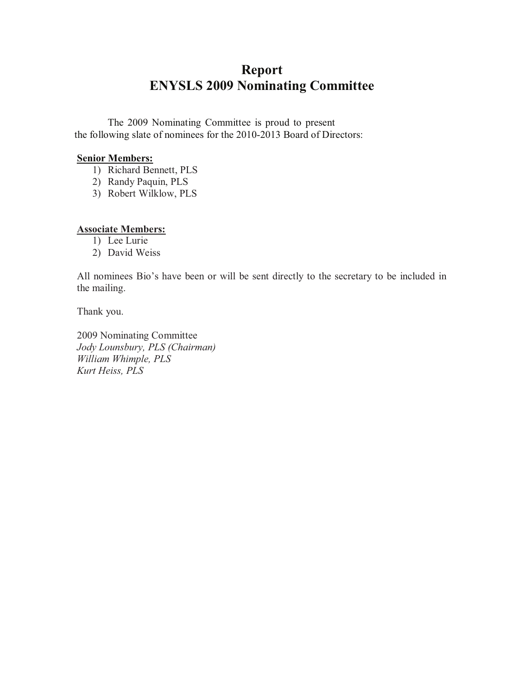# **Report ENYSLS 2009 Nominating Committee**

The 2009 Nominating Committee is proud to present the following slate of nominees for the 2010-2013 Board of Directors:

# **Senior Members:**

- 1) Richard Bennett, PLS
- 2) Randy Paquin, PLS
- 3) Robert Wilklow, PLS

# **Associate Members:**

- 1) Lee Lurie
- 2) David Weiss

All nominees Bio's have been or will be sent directly to the secretary to be included in the mailing.

Thank you.

2009 Nominating Committee *Jody Lounsbury, PLS (Chairman) William Whimple, PLS Kurt Heiss, PLS*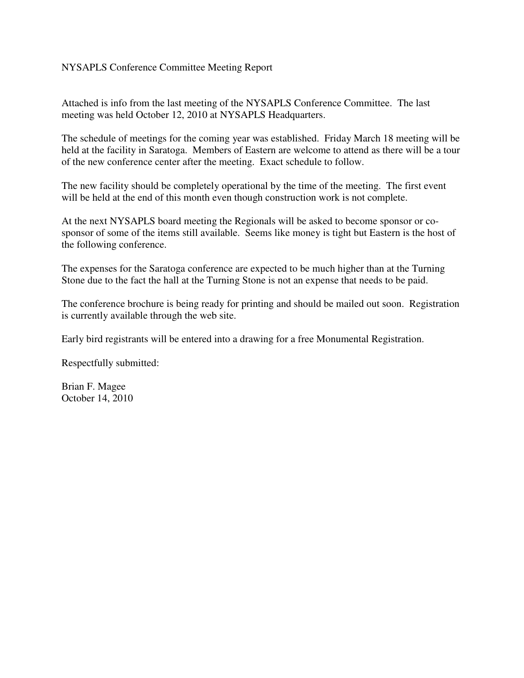# NYSAPLS Conference Committee Meeting Report

Attached is info from the last meeting of the NYSAPLS Conference Committee. The last meeting was held October 12, 2010 at NYSAPLS Headquarters.

The schedule of meetings for the coming year was established. Friday March 18 meeting will be held at the facility in Saratoga. Members of Eastern are welcome to attend as there will be a tour of the new conference center after the meeting. Exact schedule to follow.

The new facility should be completely operational by the time of the meeting. The first event will be held at the end of this month even though construction work is not complete.

At the next NYSAPLS board meeting the Regionals will be asked to become sponsor or cosponsor of some of the items still available. Seems like money is tight but Eastern is the host of the following conference.

The expenses for the Saratoga conference are expected to be much higher than at the Turning Stone due to the fact the hall at the Turning Stone is not an expense that needs to be paid.

The conference brochure is being ready for printing and should be mailed out soon. Registration is currently available through the web site.

Early bird registrants will be entered into a drawing for a free Monumental Registration.

Respectfully submitted:

Brian F. Magee October 14, 2010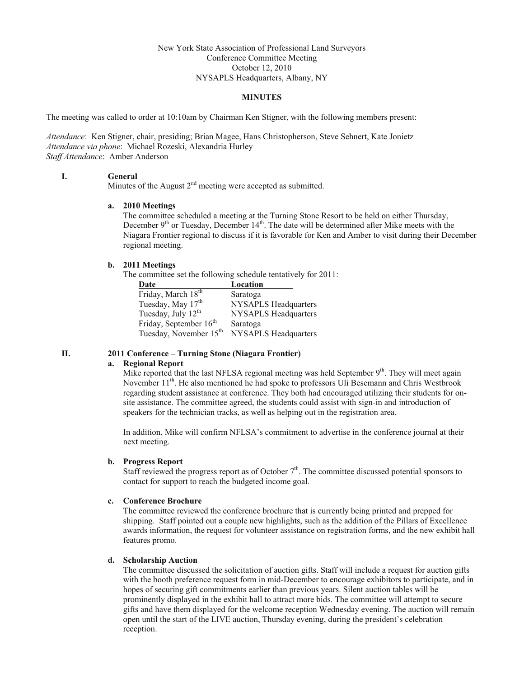### New York State Association of Professional Land Surveyors Conference Committee Meeting October 12, 2010 NYSAPLS Headquarters, Albany, NY

#### **MINUTES**

The meeting was called to order at 10:10am by Chairman Ken Stigner, with the following members present:

*Attendance*: Ken Stigner, chair, presiding; Brian Magee, Hans Christopherson, Steve Sehnert, Kate Jonietz *Attendance via phone*: Michael Rozeski, Alexandria Hurley *Staff Attendance*: Amber Anderson

#### **I. General**

Minutes of the August  $2<sup>nd</sup>$  meeting were accepted as submitted.

#### **a. 2010 Meetings**

The committee scheduled a meeting at the Turning Stone Resort to be held on either Thursday, December 9<sup>th</sup> or Tuesday, December 14<sup>th</sup>. The date will be determined after Mike meets with the Niagara Frontier regional to discuss if it is favorable for Ken and Amber to visit during their December regional meeting.

### **b. 2011 Meetings**

The committee set the following schedule tentatively for 2011:

| Date                               | Location                    |
|------------------------------------|-----------------------------|
| Friday, March $18th$               | Saratoga                    |
| Tuesday, May 17 <sup>th</sup>      | <b>NYSAPLS Headquarters</b> |
| Tuesday, July 12 <sup>th</sup>     | <b>NYSAPLS Headquarters</b> |
| Friday, September $16th$           | Saratoga                    |
| Tuesday, November 15 <sup>th</sup> | NYSAPLS Headquarters        |

### **II. 2011 Conference – Turning Stone (Niagara Frontier)**

#### **a. Regional Report**

Mike reported that the last NFLSA regional meeting was held September  $9<sup>th</sup>$ . They will meet again November 11<sup>th</sup>. He also mentioned he had spoke to professors Uli Besemann and Chris Westbrook regarding student assistance at conference. They both had encouraged utilizing their students for onsite assistance. The committee agreed, the students could assist with sign-in and introduction of speakers for the technician tracks, as well as helping out in the registration area.

In addition, Mike will confirm NFLSA's commitment to advertise in the conference journal at their next meeting.

### **b. Progress Report**

Staff reviewed the progress report as of October  $7<sup>th</sup>$ . The committee discussed potential sponsors to contact for support to reach the budgeted income goal.

#### **c. Conference Brochure**

The committee reviewed the conference brochure that is currently being printed and prepped for shipping. Staff pointed out a couple new highlights, such as the addition of the Pillars of Excellence awards information, the request for volunteer assistance on registration forms, and the new exhibit hall features promo.

#### **d. Scholarship Auction**

The committee discussed the solicitation of auction gifts. Staff will include a request for auction gifts with the booth preference request form in mid-December to encourage exhibitors to participate, and in hopes of securing gift commitments earlier than previous years. Silent auction tables will be prominently displayed in the exhibit hall to attract more bids. The committee will attempt to secure gifts and have them displayed for the welcome reception Wednesday evening. The auction will remain open until the start of the LIVE auction, Thursday evening, during the president's celebration reception.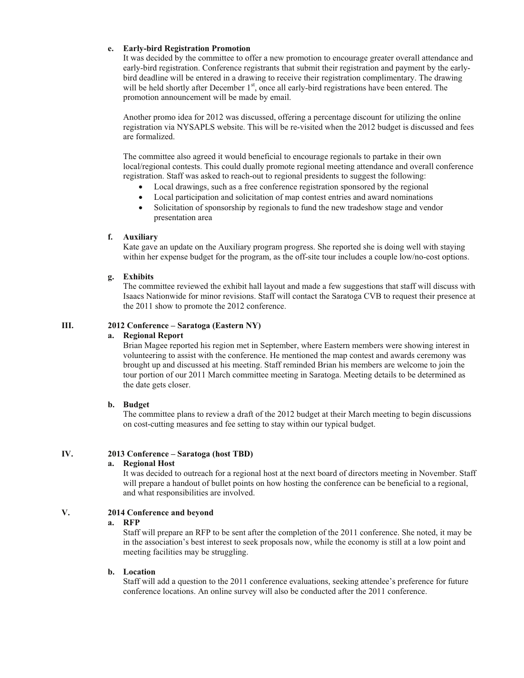### **e. Early-bird Registration Promotion**

It was decided by the committee to offer a new promotion to encourage greater overall attendance and early-bird registration. Conference registrants that submit their registration and payment by the earlybird deadline will be entered in a drawing to receive their registration complimentary. The drawing will be held shortly after December  $1<sup>st</sup>$ , once all early-bird registrations have been entered. The promotion announcement will be made by email.

Another promo idea for 2012 was discussed, offering a percentage discount for utilizing the online registration via NYSAPLS website. This will be re-visited when the 2012 budget is discussed and fees are formalized.

The committee also agreed it would beneficial to encourage regionals to partake in their own local/regional contests. This could dually promote regional meeting attendance and overall conference registration. Staff was asked to reach-out to regional presidents to suggest the following:

- Local drawings, such as a free conference registration sponsored by the regional
- ! Local participation and solicitation of map contest entries and award nominations
- Solicitation of sponsorship by regionals to fund the new tradeshow stage and vendor presentation area

### **f. Auxiliary**

Kate gave an update on the Auxiliary program progress. She reported she is doing well with staying within her expense budget for the program, as the off-site tour includes a couple low/no-cost options.

### **g. Exhibits**

The committee reviewed the exhibit hall layout and made a few suggestions that staff will discuss with Isaacs Nationwide for minor revisions. Staff will contact the Saratoga CVB to request their presence at the 2011 show to promote the 2012 conference.

### **III. 2012 Conference – Saratoga (Eastern NY)**

#### **a. Regional Report**

Brian Magee reported his region met in September, where Eastern members were showing interest in volunteering to assist with the conference. He mentioned the map contest and awards ceremony was brought up and discussed at his meeting. Staff reminded Brian his members are welcome to join the tour portion of our 2011 March committee meeting in Saratoga. Meeting details to be determined as the date gets closer.

#### **b. Budget**

The committee plans to review a draft of the 2012 budget at their March meeting to begin discussions on cost-cutting measures and fee setting to stay within our typical budget.

### **IV. 2013 Conference – Saratoga (host TBD)**

#### **a. Regional Host**

It was decided to outreach for a regional host at the next board of directors meeting in November. Staff will prepare a handout of bullet points on how hosting the conference can be beneficial to a regional, and what responsibilities are involved.

### **V. 2014 Conference and beyond**

#### **a. RFP**

Staff will prepare an RFP to be sent after the completion of the 2011 conference. She noted, it may be in the association's best interest to seek proposals now, while the economy is still at a low point and meeting facilities may be struggling.

#### **b. Location**

Staff will add a question to the 2011 conference evaluations, seeking attendee's preference for future conference locations. An online survey will also be conducted after the 2011 conference.